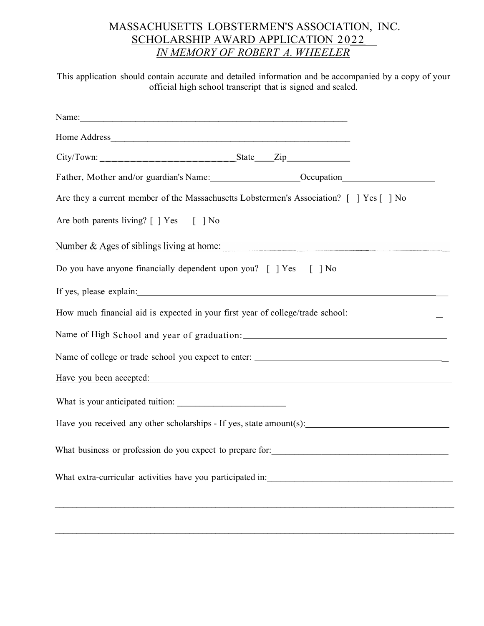## MASSACHUSETTS LOBSTERMEN'S ASSOCIATION, INC. SCHOLARSHIP AWARD APPLICATION 2022 IN MEMORY OF ROBERT A. WHEELER

This application should contain accurate and detailed information and be accompanied by a copy of your official high school transcript that is signed and sealed.

| Father, Mother and/or guardian's Name: __________________________Occupation_________________________                                                                                                                           |                                                                                  |  |
|--------------------------------------------------------------------------------------------------------------------------------------------------------------------------------------------------------------------------------|----------------------------------------------------------------------------------|--|
| Are they a current member of the Massachusetts Lobstermen's Association? [] Yes [] No                                                                                                                                          |                                                                                  |  |
| Are both parents living? [ ] Yes [ ] No                                                                                                                                                                                        |                                                                                  |  |
|                                                                                                                                                                                                                                |                                                                                  |  |
| Do you have anyone financially dependent upon you? [ ] Yes [ ] No                                                                                                                                                              |                                                                                  |  |
| If yes, please explain: 100 million and the set of the set of the set of the set of the set of the set of the set of the set of the set of the set of the set of the set of the set of the set of the set of the set of the se |                                                                                  |  |
| How much financial aid is expected in your first year of college/trade school: ____________________                                                                                                                            |                                                                                  |  |
|                                                                                                                                                                                                                                |                                                                                  |  |
|                                                                                                                                                                                                                                |                                                                                  |  |
| Have you been accepted:                                                                                                                                                                                                        | ,我们也不能在这里的时候,我们也不能在这里的时候,我们也不能会在这里的时候,我们也不能会在这里的时候,我们也不能会在这里的时候,我们也不能会在这里的时候,我们也 |  |
| What is your anticipated tuition:                                                                                                                                                                                              |                                                                                  |  |
| Have you received any other scholarships - If yes, state amount(s):                                                                                                                                                            |                                                                                  |  |
|                                                                                                                                                                                                                                |                                                                                  |  |
|                                                                                                                                                                                                                                |                                                                                  |  |
|                                                                                                                                                                                                                                |                                                                                  |  |
|                                                                                                                                                                                                                                |                                                                                  |  |

 $\mathcal{L}_\mathcal{L} = \mathcal{L}_\mathcal{L} = \mathcal{L}_\mathcal{L} = \mathcal{L}_\mathcal{L} = \mathcal{L}_\mathcal{L} = \mathcal{L}_\mathcal{L} = \mathcal{L}_\mathcal{L} = \mathcal{L}_\mathcal{L} = \mathcal{L}_\mathcal{L} = \mathcal{L}_\mathcal{L} = \mathcal{L}_\mathcal{L} = \mathcal{L}_\mathcal{L} = \mathcal{L}_\mathcal{L} = \mathcal{L}_\mathcal{L} = \mathcal{L}_\mathcal{L} = \mathcal{L}_\mathcal{L} = \mathcal{L}_\mathcal{L}$